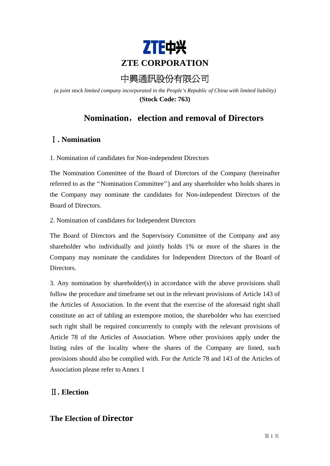

# 中興通訊股份有限公司

*(a joint stock limited company incorporated in the People's Republic of China with limited liability)* **(Stock Code: 763)** 

## **Nomination**,**election and removal of Directors**

## Ⅰ**. Nomination**

1. Nomination of candidates for Non-independent Directors

The Nomination Committee of the Board of Directors of the Company (hereinafter referred to as the ''Nomination Committee'') and any shareholder who holds shares in the Company may nominate the candidates for Non-independent Directors of the Board of Directors.

2. Nomination of candidates for Independent Directors

The Board of Directors and the Supervisory Committee of the Company and any shareholder who individually and jointly holds 1% or more of the shares in the Company may nominate the candidates for Independent Directors of the Board of Directors.

3. Any nomination by shareholder(s) in accordance with the above provisions shall follow the procedure and timeframe set out in the relevant provisions of Article 143 of the Articles of Association. In the event that the exercise of the aforesaid right shall constitute an act of tabling an extempore motion, the shareholder who has exercised such right shall be required concurrently to comply with the relevant provisions of Article 78 of the Articles of Association. Where other provisions apply under the listing rules of the locality where the shares of the Company are listed, such provisions should also be complied with. For the Article 78 and 143 of the Articles of Association please refer to Annex 1

## Ⅱ**. Election**

#### **The Election of Director**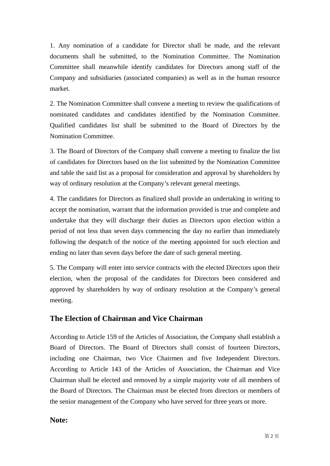1. Any nomination of a candidate for Director shall be made, and the relevant documents shall be submitted, to the Nomination Committee. The Nomination Committee shall meanwhile identify candidates for Directors among staff of the Company and subsidiaries (associated companies) as well as in the human resource market.

2. The Nomination Committee shall convene a meeting to review the qualifications of nominated candidates and candidates identified by the Nomination Committee. Qualified candidates list shall be submitted to the Board of Directors by the Nomination Committee.

3. The Board of Directors of the Company shall convene a meeting to finalize the list of candidates for Directors based on the list submitted by the Nomination Committee and table the said list as a proposal for consideration and approval by shareholders by way of ordinary resolution at the Company's relevant general meetings.

4. The candidates for Directors as finalized shall provide an undertaking in writing to accept the nomination, warrant that the information provided is true and complete and undertake that they will discharge their duties as Directors upon election within a period of not less than seven days commencing the day no earlier than immediately following the despatch of the notice of the meeting appointed for such election and ending no later than seven days before the date of such general meeting.

5. The Company will enter into service contracts with the elected Directors upon their election, when the proposal of the candidates for Directors been considered and approved by shareholders by way of ordinary resolution at the Company's general meeting.

#### **The Election of Chairman and Vice Chairman**

According to Article 159 of the Articles of Association, the Company shall establish a Board of Directors. The Board of Directors shall consist of fourteen Directors, including one Chairman, two Vice Chairmen and five Independent Directors. According to Article 143 of the Articles of Association, the Chairman and Vice Chairman shall be elected and removed by a simple majority vote of all members of the Board of Directors. The Chairman must be elected from directors or members of the senior management of the Company who have served for three years or more.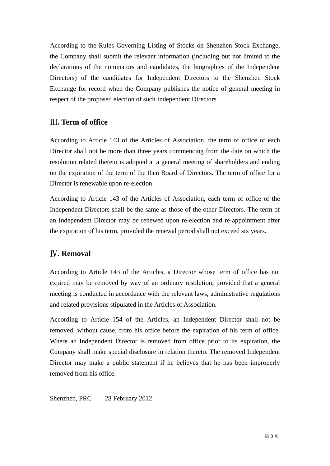According to the Rules Governing Listing of Stocks on Shenzhen Stock Exchange, the Company shall submit the relevant information (including but not limited to the declarations of the nominators and candidates, the biographies of the Independent Directors) of the candidates for Independent Directors to the Shenzhen Stock Exchange for record when the Company publishes the notice of general meeting in respect of the proposed election of such Independent Directors.

## Ⅲ**. Term of office**

According to Article 143 of the Articles of Association, the term of office of each Director shall not be more than three years commencing from the date on which the resolution related thereto is adopted at a general meeting of shareholders and ending on the expiration of the term of the then Board of Directors. The term of office for a Director is renewable upon re-election.

According to Article 143 of the Articles of Association, each term of office of the Independent Directors shall be the same as those of the other Directors. The term of an Independent Director may be renewed upon re-election and re-appointment after the expiration of his term, provided the renewal period shall not exceed six years.

## Ⅳ**. Removal**

According to Article 143 of the Articles, a Director whose term of office has not expired may be removed by way of an ordinary resolution, provided that a general meeting is conducted in accordance with the relevant laws, administrative regulations and related provisions stipulated in the Articles of Association.

According to Article 154 of the Articles, an Independent Director shall not be removed, without cause, from his office before the expiration of his term of office. Where an Independent Director is removed from office prior to its expiration, the Company shall make special disclosure in relation thereto. The removed Independent Director may make a public statement if he believes that he has been improperly removed from his office.

Shenzhen, PRC 28 February 2012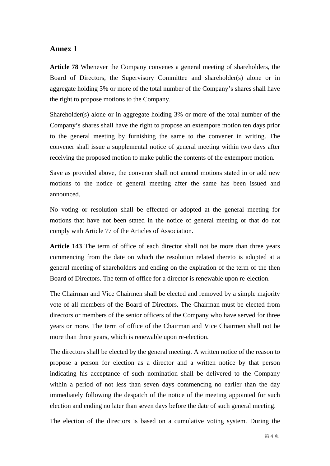#### **Annex 1**

**Article 78** Whenever the Company convenes a general meeting of shareholders, the Board of Directors, the Supervisory Committee and shareholder(s) alone or in aggregate holding 3% or more of the total number of the Company's shares shall have the right to propose motions to the Company.

Shareholder(s) alone or in aggregate holding 3% or more of the total number of the Company's shares shall have the right to propose an extempore motion ten days prior to the general meeting by furnishing the same to the convener in writing. The convener shall issue a supplemental notice of general meeting within two days after receiving the proposed motion to make public the contents of the extempore motion.

Save as provided above, the convener shall not amend motions stated in or add new motions to the notice of general meeting after the same has been issued and announced.

No voting or resolution shall be effected or adopted at the general meeting for motions that have not been stated in the notice of general meeting or that do not comply with Article 77 of the Articles of Association.

**Article 143** The term of office of each director shall not be more than three years commencing from the date on which the resolution related thereto is adopted at a general meeting of shareholders and ending on the expiration of the term of the then Board of Directors. The term of office for a director is renewable upon re-election.

The Chairman and Vice Chairmen shall be elected and removed by a simple majority vote of all members of the Board of Directors. The Chairman must be elected from directors or members of the senior officers of the Company who have served for three years or more. The term of office of the Chairman and Vice Chairmen shall not be more than three years, which is renewable upon re-election.

The directors shall be elected by the general meeting. A written notice of the reason to propose a person for election as a director and a written notice by that person indicating his acceptance of such nomination shall be delivered to the Company within a period of not less than seven days commencing no earlier than the day immediately following the despatch of the notice of the meeting appointed for such election and ending no later than seven days before the date of such general meeting.

The election of the directors is based on a cumulative voting system. During the